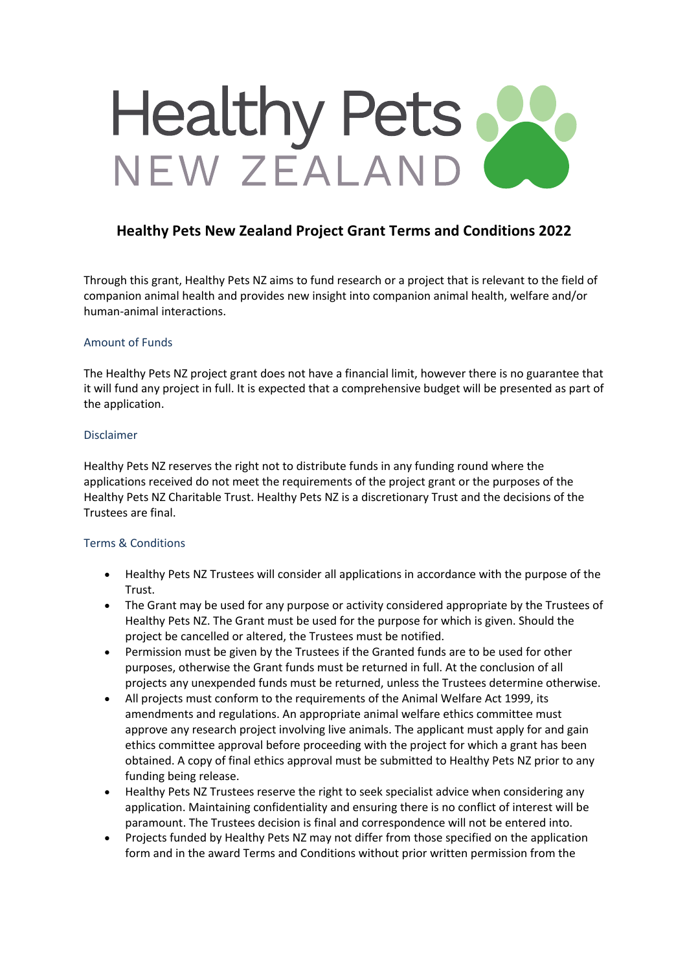# Healthy Pets

# **Healthy Pets New Zealand Project Grant Terms and Conditions 2022**

Through this grant, Healthy Pets NZ aims to fund research or a project that is relevant to the field of companion animal health and provides new insight into companion animal health, welfare and/or human-animal interactions.

## Amount of Funds

The Healthy Pets NZ project grant does not have a financial limit, however there is no guarantee that it will fund any project in full. It is expected that a comprehensive budget will be presented as part of the application.

#### Disclaimer

Healthy Pets NZ reserves the right not to distribute funds in any funding round where the applications received do not meet the requirements of the project grant or the purposes of the Healthy Pets NZ Charitable Trust. Healthy Pets NZ is a discretionary Trust and the decisions of the Trustees are final.

## Terms & Conditions

- Healthy Pets NZ Trustees will consider all applications in accordance with the purpose of the Trust.
- The Grant may be used for any purpose or activity considered appropriate by the Trustees of Healthy Pets NZ. The Grant must be used for the purpose for which is given. Should the project be cancelled or altered, the Trustees must be notified.
- Permission must be given by the Trustees if the Granted funds are to be used for other purposes, otherwise the Grant funds must be returned in full. At the conclusion of all projects any unexpended funds must be returned, unless the Trustees determine otherwise.
- All projects must conform to the requirements of the Animal Welfare Act 1999, its amendments and regulations. An appropriate animal welfare ethics committee must approve any research project involving live animals. The applicant must apply for and gain ethics committee approval before proceeding with the project for which a grant has been obtained. A copy of final ethics approval must be submitted to Healthy Pets NZ prior to any funding being release.
- Healthy Pets NZ Trustees reserve the right to seek specialist advice when considering any application. Maintaining confidentiality and ensuring there is no conflict of interest will be paramount. The Trustees decision is final and correspondence will not be entered into.
- Projects funded by Healthy Pets NZ may not differ from those specified on the application form and in the award Terms and Conditions without prior written permission from the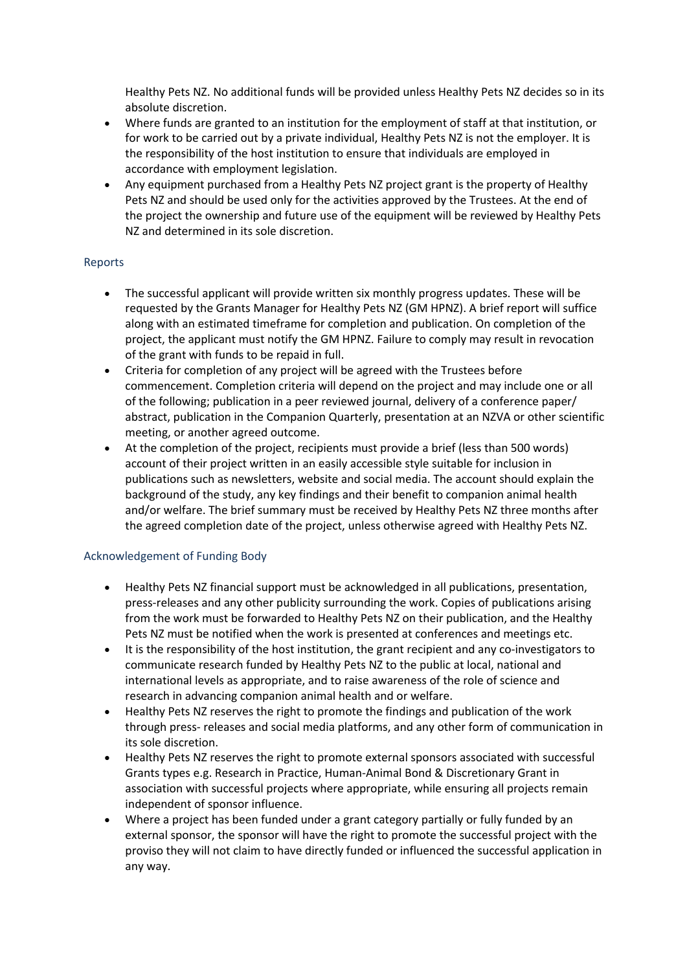Healthy Pets NZ. No additional funds will be provided unless Healthy Pets NZ decides so in its absolute discretion.

- Where funds are granted to an institution for the employment of staff at that institution, or for work to be carried out by a private individual, Healthy Pets NZ is not the employer. It is the responsibility of the host institution to ensure that individuals are employed in accordance with employment legislation.
- Any equipment purchased from a Healthy Pets NZ project grant is the property of Healthy Pets NZ and should be used only for the activities approved by the Trustees. At the end of the project the ownership and future use of the equipment will be reviewed by Healthy Pets NZ and determined in its sole discretion.

# Reports

- The successful applicant will provide written six monthly progress updates. These will be requested by the Grants Manager for Healthy Pets NZ (GM HPNZ). A brief report will suffice along with an estimated timeframe for completion and publication. On completion of the project, the applicant must notify the GM HPNZ. Failure to comply may result in revocation of the grant with funds to be repaid in full.
- Criteria for completion of any project will be agreed with the Trustees before commencement. Completion criteria will depend on the project and may include one or all of the following; publication in a peer reviewed journal, delivery of a conference paper/ abstract, publication in the Companion Quarterly, presentation at an NZVA or other scientific meeting, or another agreed outcome.
- At the completion of the project, recipients must provide a brief (less than 500 words) account of their project written in an easily accessible style suitable for inclusion in publications such as newsletters, website and social media. The account should explain the background of the study, any key findings and their benefit to companion animal health and/or welfare. The brief summary must be received by Healthy Pets NZ three months after the agreed completion date of the project, unless otherwise agreed with Healthy Pets NZ.

## Acknowledgement of Funding Body

- Healthy Pets NZ financial support must be acknowledged in all publications, presentation, press-releases and any other publicity surrounding the work. Copies of publications arising from the work must be forwarded to Healthy Pets NZ on their publication, and the Healthy Pets NZ must be notified when the work is presented at conferences and meetings etc.
- It is the responsibility of the host institution, the grant recipient and any co-investigators to communicate research funded by Healthy Pets NZ to the public at local, national and international levels as appropriate, and to raise awareness of the role of science and research in advancing companion animal health and or welfare.
- Healthy Pets NZ reserves the right to promote the findings and publication of the work through press- releases and social media platforms, and any other form of communication in its sole discretion.
- Healthy Pets NZ reserves the right to promote external sponsors associated with successful Grants types e.g. Research in Practice, Human-Animal Bond & Discretionary Grant in association with successful projects where appropriate, while ensuring all projects remain independent of sponsor influence.
- Where a project has been funded under a grant category partially or fully funded by an external sponsor, the sponsor will have the right to promote the successful project with the proviso they will not claim to have directly funded or influenced the successful application in any way.